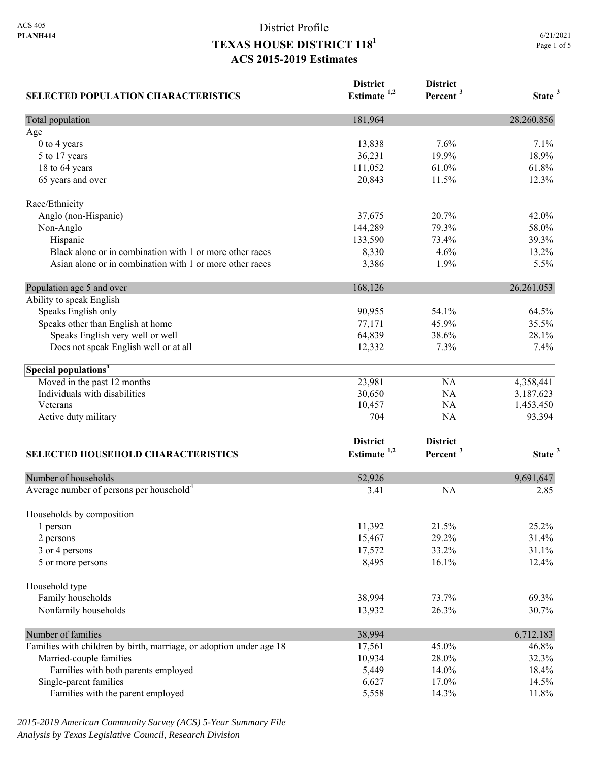| <b>SELECTED POPULATION CHARACTERISTICS</b>                          | <b>District</b><br>Estimate <sup>1,2</sup> | <b>District</b><br>Percent <sup>3</sup> | State <sup>3</sup> |
|---------------------------------------------------------------------|--------------------------------------------|-----------------------------------------|--------------------|
| Total population                                                    | 181,964                                    |                                         | 28,260,856         |
| Age                                                                 |                                            |                                         |                    |
| 0 to 4 years                                                        | 13,838                                     | 7.6%                                    | 7.1%               |
| 5 to 17 years                                                       | 36,231                                     | 19.9%                                   | 18.9%              |
| 18 to 64 years                                                      | 111,052                                    | 61.0%                                   | 61.8%              |
| 65 years and over                                                   | 20,843                                     | 11.5%                                   | 12.3%              |
| Race/Ethnicity                                                      |                                            |                                         |                    |
| Anglo (non-Hispanic)                                                | 37,675                                     | 20.7%                                   | 42.0%              |
| Non-Anglo                                                           | 144,289                                    | 79.3%                                   | 58.0%              |
| Hispanic                                                            | 133,590                                    | 73.4%                                   | 39.3%              |
| Black alone or in combination with 1 or more other races            | 8,330                                      | 4.6%                                    | 13.2%              |
| Asian alone or in combination with 1 or more other races            | 3,386                                      | 1.9%                                    | 5.5%               |
| Population age 5 and over                                           | 168,126                                    |                                         | 26, 261, 053       |
| Ability to speak English                                            |                                            |                                         |                    |
| Speaks English only                                                 | 90,955                                     | 54.1%                                   | 64.5%              |
| Speaks other than English at home                                   | 77,171                                     | 45.9%                                   | 35.5%              |
| Speaks English very well or well                                    | 64,839                                     | 38.6%                                   | 28.1%              |
| Does not speak English well or at all                               | 12,332                                     | 7.3%                                    | 7.4%               |
| Special populations <sup>4</sup>                                    |                                            |                                         |                    |
| Moved in the past 12 months                                         | 23,981                                     | <b>NA</b>                               | 4,358,441          |
| Individuals with disabilities                                       | 30,650                                     | <b>NA</b>                               | 3,187,623          |
| Veterans                                                            | 10,457                                     | <b>NA</b>                               | 1,453,450          |
| Active duty military                                                | 704                                        | <b>NA</b>                               | 93,394             |
|                                                                     | <b>District</b>                            | <b>District</b>                         |                    |
| <b>SELECTED HOUSEHOLD CHARACTERISTICS</b>                           | Estimate $1,2$                             | Percent <sup>3</sup>                    | State <sup>3</sup> |
| Number of households                                                | 52,926                                     |                                         | 9,691,647          |
| Average number of persons per household <sup>4</sup>                | 3.41                                       | <b>NA</b>                               | 2.85               |
|                                                                     |                                            |                                         |                    |
| Households by composition<br>1 person                               | 11,392                                     | 21.5%                                   | 25.2%              |
| 2 persons                                                           | 15,467                                     | 29.2%                                   | 31.4%              |
| 3 or 4 persons                                                      | 17,572                                     | 33.2%                                   | 31.1%              |
| 5 or more persons                                                   | 8,495                                      | 16.1%                                   | 12.4%              |
| Household type                                                      |                                            |                                         |                    |
| Family households                                                   | 38,994                                     | 73.7%                                   | 69.3%              |
| Nonfamily households                                                | 13,932                                     | 26.3%                                   | 30.7%              |
| Number of families                                                  | 38,994                                     |                                         | 6,712,183          |
| Families with children by birth, marriage, or adoption under age 18 | 17,561                                     | 45.0%                                   | 46.8%              |
| Married-couple families                                             | 10,934                                     | 28.0%                                   | 32.3%              |
| Families with both parents employed                                 | 5,449                                      | 14.0%                                   | 18.4%              |
| Single-parent families                                              | 6,627                                      | 17.0%                                   | 14.5%              |
| Families with the parent employed                                   | 5,558                                      | 14.3%                                   | 11.8%              |

*2015-2019 American Community Survey (ACS) 5-Year Summary File Analysis by Texas Legislative Council, Research Division*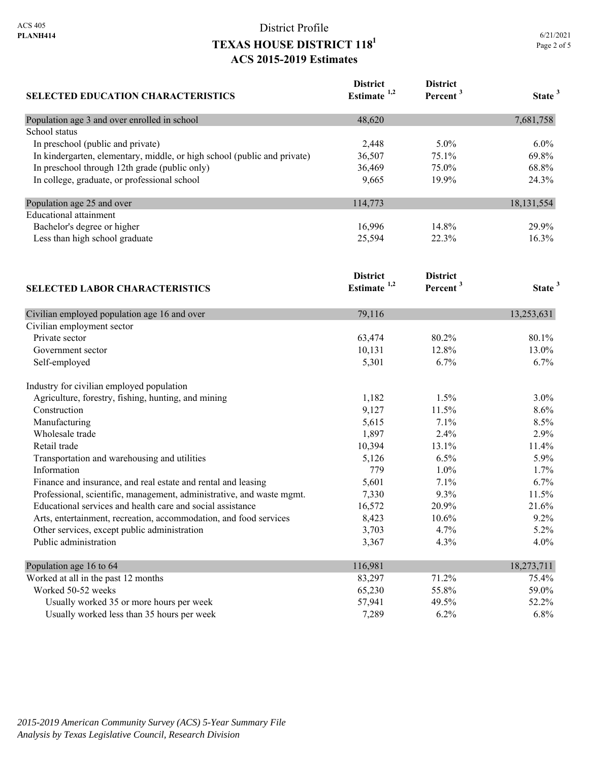| <b>SELECTED EDUCATION CHARACTERISTICS</b>                                | <b>District</b><br>Estimate <sup>1,2</sup> | <b>District</b><br>Percent <sup>3</sup> | State <sup>3</sup> |
|--------------------------------------------------------------------------|--------------------------------------------|-----------------------------------------|--------------------|
| Population age 3 and over enrolled in school                             | 48,620                                     |                                         | 7,681,758          |
| School status                                                            |                                            |                                         |                    |
| In preschool (public and private)                                        | 2,448                                      | 5.0%                                    | 6.0%               |
| In kindergarten, elementary, middle, or high school (public and private) | 36,507                                     | 75.1%                                   | 69.8%              |
| In preschool through 12th grade (public only)                            | 36,469                                     | 75.0%                                   | 68.8%              |
| In college, graduate, or professional school                             | 9,665                                      | 19.9%                                   | 24.3%              |
| Population age 25 and over                                               | 114,773                                    |                                         | 18, 131, 554       |
| <b>Educational attainment</b>                                            |                                            |                                         |                    |
| Bachelor's degree or higher                                              | 16,996                                     | 14.8%                                   | 29.9%              |
| Less than high school graduate                                           | 25,594                                     | 22.3%                                   | 16.3%              |
|                                                                          | <b>District</b>                            | <b>District</b>                         |                    |
| <b>SELECTED LABOR CHARACTERISTICS</b>                                    | Estimate $1,2$                             | Percent <sup>3</sup>                    | State <sup>3</sup> |
| Civilian employed population age 16 and over                             | 79,116                                     |                                         | 13,253,631         |
| Civilian employment sector                                               |                                            |                                         |                    |
| Private sector                                                           | 63,474                                     | 80.2%                                   | 80.1%              |
| Government sector                                                        | 10,131                                     | 12.8%                                   | 13.0%              |
| Self-employed                                                            | 5,301                                      | 6.7%                                    | 6.7%               |
| Industry for civilian employed population                                |                                            |                                         |                    |
| Agriculture, forestry, fishing, hunting, and mining                      | 1,182                                      | 1.5%                                    | 3.0%               |
| Construction                                                             | 9,127                                      | 11.5%                                   | 8.6%               |
| Manufacturing                                                            | 5,615                                      | 7.1%                                    | 8.5%               |
| Wholesale trade                                                          | 1,897                                      | 2.4%                                    | 2.9%               |
| Retail trade                                                             | 10,394                                     | 13.1%                                   | 11.4%              |
| Transportation and warehousing and utilities                             | 5,126                                      | 6.5%                                    | 5.9%               |
| Information                                                              | 779                                        | 1.0%                                    | 1.7%               |
| Finance and insurance, and real estate and rental and leasing            | 5,601                                      | 7.1%                                    | 6.7%               |
| Professional, scientific, management, administrative, and waste mgmt.    | 7,330                                      | 9.3%                                    | 11.5%              |
| Educational services and health care and social assistance               | 16,572                                     | 20.9%                                   | 21.6%              |
| Arts, entertainment, recreation, accommodation, and food services        | 8,423                                      | 10.6%                                   | 9.2%               |
| Other services, except public administration                             | 3,703                                      | 4.7%                                    | 5.2%               |
| Public administration                                                    | 3,367                                      | 4.3%                                    | 4.0%               |
| Population age 16 to 64                                                  | 116,981                                    |                                         | 18,273,711         |
| Worked at all in the past 12 months                                      | 83,297                                     | 71.2%                                   | 75.4%              |
| Worked 50-52 weeks                                                       | 65,230                                     | 55.8%                                   | 59.0%              |
| Usually worked 35 or more hours per week                                 | 57,941                                     | 49.5%                                   | 52.2%              |
| Usually worked less than 35 hours per week                               | 7,289                                      | 6.2%                                    | 6.8%               |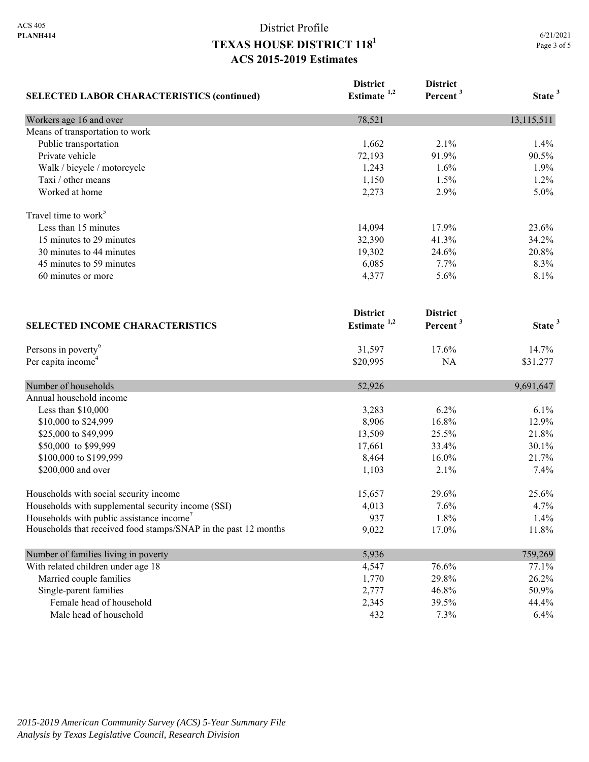| <b>SELECTED LABOR CHARACTERISTICS (continued)</b>               | <b>District</b><br>Estimate <sup>1,2</sup> | <b>District</b><br>Percent <sup>3</sup> | State <sup>3</sup> |
|-----------------------------------------------------------------|--------------------------------------------|-----------------------------------------|--------------------|
| Workers age 16 and over                                         | 78,521                                     |                                         | 13,115,511         |
| Means of transportation to work                                 |                                            |                                         |                    |
| Public transportation                                           | 1,662                                      | 2.1%                                    | 1.4%               |
| Private vehicle                                                 | 72,193                                     | 91.9%                                   | 90.5%              |
| Walk / bicycle / motorcycle                                     | 1,243                                      | 1.6%                                    | 1.9%               |
| Taxi / other means                                              | 1,150                                      | 1.5%                                    | 1.2%               |
| Worked at home                                                  | 2,273                                      | 2.9%                                    | 5.0%               |
| Travel time to work <sup>5</sup>                                |                                            |                                         |                    |
| Less than 15 minutes                                            | 14,094                                     | 17.9%                                   | 23.6%              |
| 15 minutes to 29 minutes                                        | 32,390                                     | 41.3%                                   | 34.2%              |
| 30 minutes to 44 minutes                                        | 19,302                                     | 24.6%                                   | 20.8%              |
| 45 minutes to 59 minutes                                        | 6,085                                      | 7.7%                                    | 8.3%               |
| 60 minutes or more                                              | 4,377                                      | 5.6%                                    | 8.1%               |
| <b>SELECTED INCOME CHARACTERISTICS</b>                          | <b>District</b><br>Estimate <sup>1,2</sup> | <b>District</b><br>Percent <sup>3</sup> | State <sup>3</sup> |
|                                                                 |                                            |                                         |                    |
| Persons in poverty <sup>6</sup>                                 | 31,597                                     | 17.6%                                   | 14.7%              |
| Per capita income <sup>4</sup>                                  | \$20,995                                   | NA                                      | \$31,277           |
| Number of households                                            | 52,926                                     |                                         | 9,691,647          |
| Annual household income                                         |                                            |                                         |                    |
| Less than \$10,000                                              | 3,283                                      | 6.2%                                    | 6.1%               |
| \$10,000 to \$24,999                                            | 8,906                                      | 16.8%                                   | 12.9%              |
| \$25,000 to \$49,999                                            | 13,509                                     | 25.5%                                   | 21.8%              |
| \$50,000 to \$99,999                                            | 17,661                                     | 33.4%                                   | 30.1%              |
| \$100,000 to \$199,999                                          | 8,464                                      | 16.0%                                   | 21.7%              |
| \$200,000 and over                                              | 1,103                                      | 2.1%                                    | 7.4%               |
| Households with social security income                          | 15,657                                     | 29.6%                                   | 25.6%              |
| Households with supplemental security income (SSI)              | 4,013                                      | 7.6%                                    | 4.7%               |
| Households with public assistance income                        | 937                                        | 1.8%                                    | 1.4%               |
| Households that received food stamps/SNAP in the past 12 months | 9,022                                      | 17.0%                                   | 11.8%              |
| Number of families living in poverty                            | 5,936                                      |                                         | 759,269            |
| With related children under age 18                              | 4,547                                      | 76.6%                                   | 77.1%              |
| Married couple families                                         | 1,770                                      | 29.8%                                   | 26.2%              |
| Single-parent families                                          | 2,777                                      | 46.8%                                   | 50.9%              |
| Female head of household                                        | 2,345                                      | 39.5%                                   | 44.4%              |
| Male head of household                                          | 432                                        | 7.3%                                    | 6.4%               |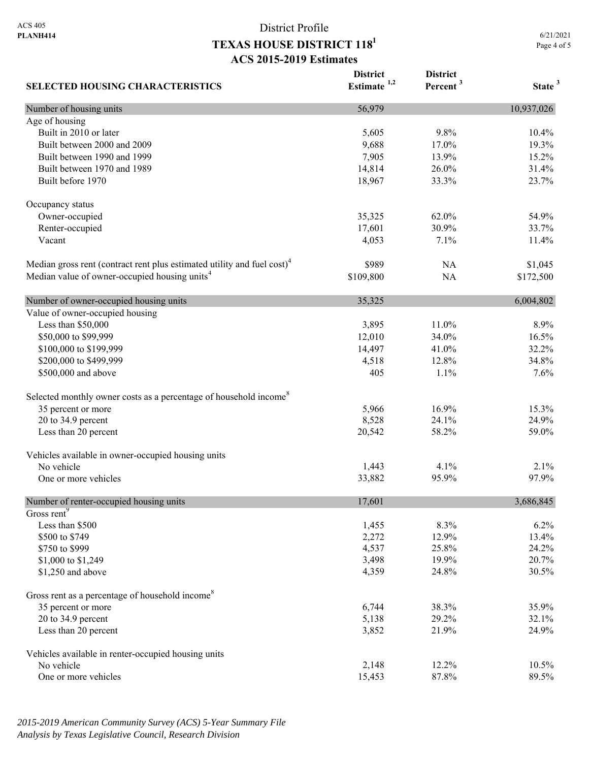6/21/2021 Page 4 of 5

| <b>SELECTED HOUSING CHARACTERISTICS</b>                                             | <b>District</b><br>Estimate $1,2$ | <b>District</b><br>Percent <sup>3</sup> | State <sup>3</sup> |
|-------------------------------------------------------------------------------------|-----------------------------------|-----------------------------------------|--------------------|
| Number of housing units                                                             | 56,979                            |                                         | 10,937,026         |
| Age of housing                                                                      |                                   |                                         |                    |
| Built in 2010 or later                                                              | 5,605                             | 9.8%                                    | 10.4%              |
| Built between 2000 and 2009                                                         | 9,688                             | 17.0%                                   | 19.3%              |
| Built between 1990 and 1999                                                         | 7,905                             | 13.9%                                   | 15.2%              |
| Built between 1970 and 1989                                                         | 14,814                            | 26.0%                                   | 31.4%              |
| Built before 1970                                                                   | 18,967                            | 33.3%                                   | 23.7%              |
| Occupancy status                                                                    |                                   |                                         |                    |
| Owner-occupied                                                                      | 35,325                            | 62.0%                                   | 54.9%              |
| Renter-occupied                                                                     | 17,601                            | 30.9%                                   | 33.7%              |
| Vacant                                                                              | 4,053                             | 7.1%                                    | 11.4%              |
| Median gross rent (contract rent plus estimated utility and fuel cost) <sup>4</sup> | \$989                             | NA                                      | \$1,045            |
| Median value of owner-occupied housing units <sup>4</sup>                           | \$109,800                         | NA                                      | \$172,500          |
| Number of owner-occupied housing units                                              | 35,325                            |                                         | 6,004,802          |
| Value of owner-occupied housing                                                     |                                   |                                         |                    |
| Less than \$50,000                                                                  | 3,895                             | 11.0%                                   | 8.9%               |
| \$50,000 to \$99,999                                                                | 12,010                            | 34.0%                                   | 16.5%              |
| \$100,000 to \$199,999                                                              | 14,497                            | 41.0%                                   | 32.2%              |
| \$200,000 to \$499,999                                                              | 4,518                             | 12.8%                                   | 34.8%              |
| \$500,000 and above                                                                 | 405                               | 1.1%                                    | 7.6%               |
| Selected monthly owner costs as a percentage of household income <sup>8</sup>       |                                   |                                         |                    |
| 35 percent or more                                                                  | 5,966                             | 16.9%                                   | 15.3%              |
| 20 to 34.9 percent                                                                  | 8,528                             | 24.1%                                   | 24.9%              |
| Less than 20 percent                                                                | 20,542                            | 58.2%                                   | 59.0%              |
| Vehicles available in owner-occupied housing units                                  |                                   |                                         |                    |
| No vehicle                                                                          | 1,443                             | 4.1%                                    | 2.1%               |
| One or more vehicles                                                                | 33,882                            | 95.9%                                   | 97.9%              |
| Number of renter-occupied housing units                                             | 17,601                            |                                         | 3,686,845          |
| Gross rent <sup>9</sup>                                                             |                                   |                                         |                    |
| Less than \$500                                                                     | 1,455                             | 8.3%                                    | 6.2%               |
| \$500 to \$749                                                                      | 2,272                             | 12.9%                                   | 13.4%              |
| \$750 to \$999                                                                      | 4,537                             | 25.8%                                   | 24.2%              |
| \$1,000 to \$1,249                                                                  | 3,498                             | 19.9%                                   | 20.7%              |
| \$1,250 and above                                                                   | 4,359                             | 24.8%                                   | 30.5%              |
| Gross rent as a percentage of household income <sup>8</sup>                         |                                   |                                         |                    |
| 35 percent or more                                                                  | 6,744                             | 38.3%                                   | 35.9%              |
| 20 to 34.9 percent                                                                  | 5,138                             | 29.2%                                   | 32.1%              |
| Less than 20 percent                                                                | 3,852                             | 21.9%                                   | 24.9%              |
| Vehicles available in renter-occupied housing units                                 |                                   |                                         |                    |
| No vehicle                                                                          | 2,148                             | 12.2%                                   | 10.5%              |
| One or more vehicles                                                                | 15,453                            | 87.8%                                   | 89.5%              |